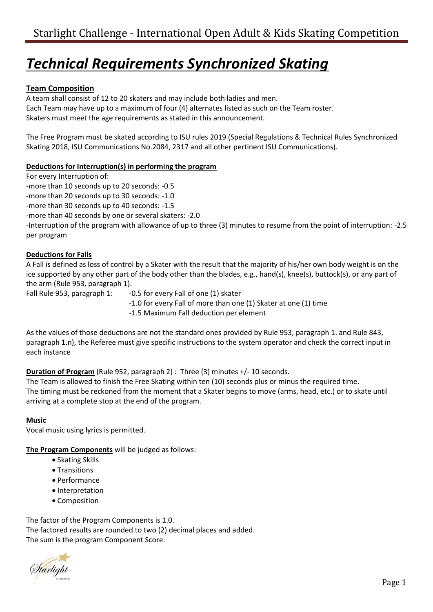# *Technical Requirements Synchronized Skating*

# **Team Composition**

A team shall consist of 12 to 20 skaters and may include both ladies and men. Each Team may have up to a maximum of four (4) alternates listed as such on the Team roster. Skaters must meet the age requirements as stated in this announcement.

The Free Program must be skated according to ISU rules 2019 (Special Regulations & Technical Rules Synchronized Skating 2018, ISU Communications No.2084, 2317 and all other pertinent ISU Communications).

# **Deductions for Interruption(s) in performing the program**

For every Interruption of:

-more than 10 seconds up to 20 seconds: -0.5

-more than 20 seconds up to 30 seconds: -1.0

-more than 30 seconds up to 40 seconds: -1.5

-more than 40 seconds by one or several skaters: -2.0

-Interruption of the program with allowance of up to three (3) minutes to resume from the point of interruption: -2.5 per program

# **Deductions for Falls**

A Fall is defined as loss of control by a Skater with the result that the majority of his/her own body weight is on the ice supported by any other part of the body other than the blades, e.g., hand(s), knee(s), buttock(s), or any part of the arm (Rule 953, paragraph 1).

Fall Rule 953, paragraph 1: -0.5 for every Fall of one (1) skater

-1.0 for every Fall of more than one (1) Skater at one (1) time

-1.5 Maximum Fall deduction per element

As the values of those deductions are not the standard ones provided by Rule 953, paragraph 1. and Rule 843, paragraph 1.n), the Referee must give specific instructions to the system operator and check the correct input in each instance

# **Duration of Program** (Rule 952, paragraph 2) : Three (3) minutes +/- 10 seconds.

The Team is allowed to finish the Free Skating within ten (10) seconds plus or minus the required time. The timing must be reckoned from the moment that a Skater begins to move (arms, head, etc.) or to skate until arriving at a complete stop at the end of the program.

### **Music**

Vocal music using lyrics is permitted.

**The Program Components** will be judged as follows:

- Skating Skills
- Transitions
- Performance
- Interpretation
- Composition

The factor of the Program Components is 1.0. The factored results are rounded to two (2) decimal places and added. The sum is the program Component Score.